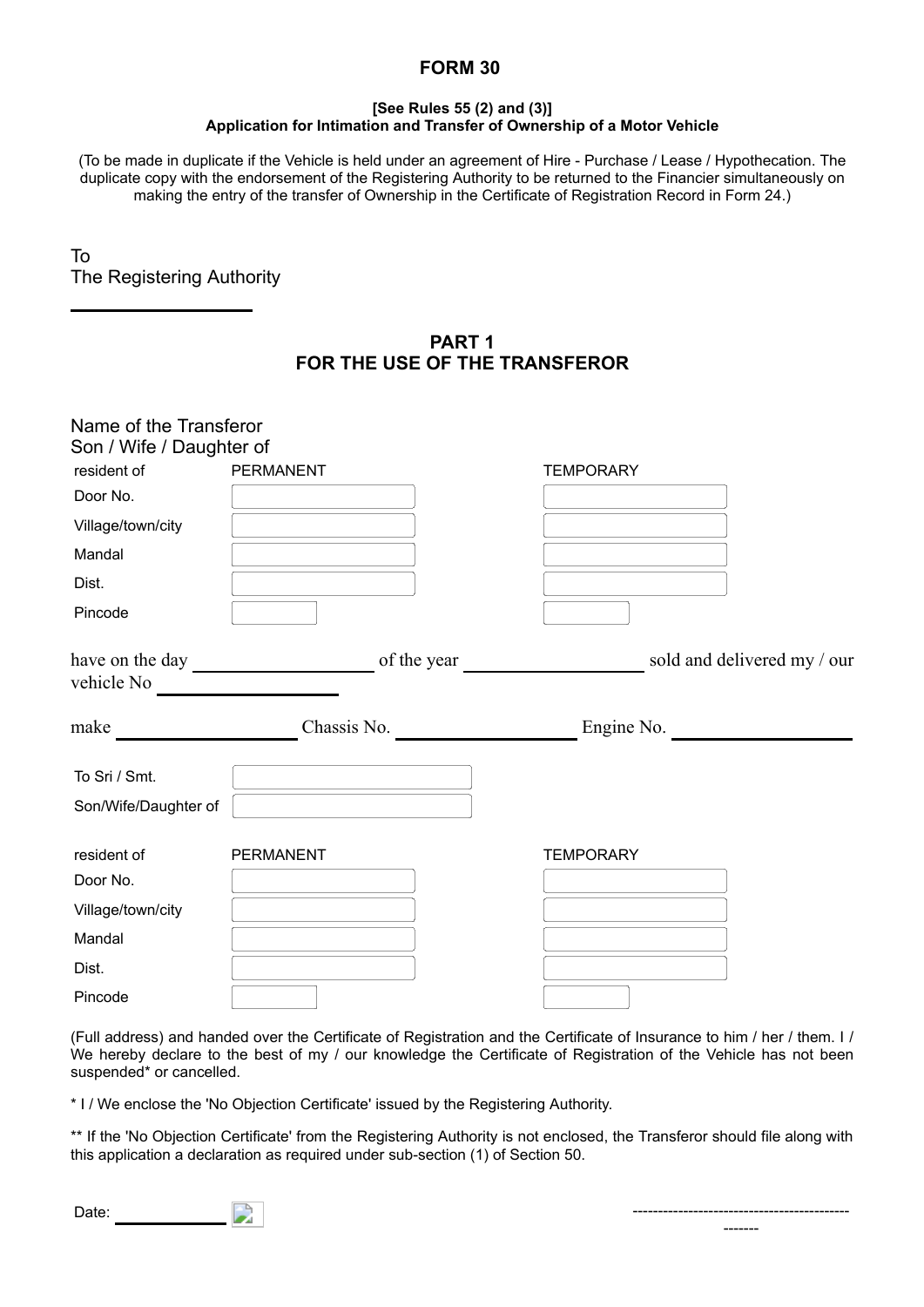## **FORM 30**

## **[See Rules 55 (2) and (3)] Application for Intimation and Transfer of Ownership of a Motor Vehicle**

(To be made in duplicate if the Vehicle is held under an agreement of Hire - Purchase / Lease / Hypothecation. The duplicate copy with the endorsement of the Registering Authority to be returned to the Financier simultaneously on making the entry of the transfer of Ownership in the Certificate of Registration Record in Form 24.)

To The Registering Authority

> **PART 1 FOR THE USE OF THE TRANSFEROR**

| Son / Wife / Daughter of<br>resident of | <b>PERMANENT</b> | <b>TEMPORARY</b>            |
|-----------------------------------------|------------------|-----------------------------|
| Door No.                                |                  |                             |
| Village/town/city                       |                  |                             |
| Mandal                                  |                  |                             |
| Dist.                                   |                  |                             |
| Pincode                                 |                  |                             |
| have on the day                         | of the year      | sold and delivered my / our |
| vehicle No                              |                  |                             |
| make                                    | Chassis No.      | Engine No.                  |
|                                         |                  |                             |
| To Sri / Smt.                           |                  |                             |
| Son/Wife/Daughter of                    |                  |                             |
| resident of                             | <b>PERMANENT</b> | <b>TEMPORARY</b>            |
| Door No.                                |                  |                             |
| Village/town/city                       |                  |                             |
| Mandal                                  |                  |                             |
| Dist.                                   |                  |                             |

(Full address) and handed over the Certificate of Registration and the Certificate of Insurance to him / her / them. I / We hereby declare to the best of my / our knowledge the Certificate of Registration of the Vehicle has not been suspended<sup>\*</sup> or cancelled.

\* I / We enclose the 'No Objection Certificate' issued by the Registering Authority.

\*\* If the 'No Objection Certificate' from the Registering Authority is not enclosed, the Transferor should file along with this application a declaration as required under sub-section (1) of Section 50.

| ۰.<br>×<br>×<br>×<br>۰. |  |
|-------------------------|--|



-------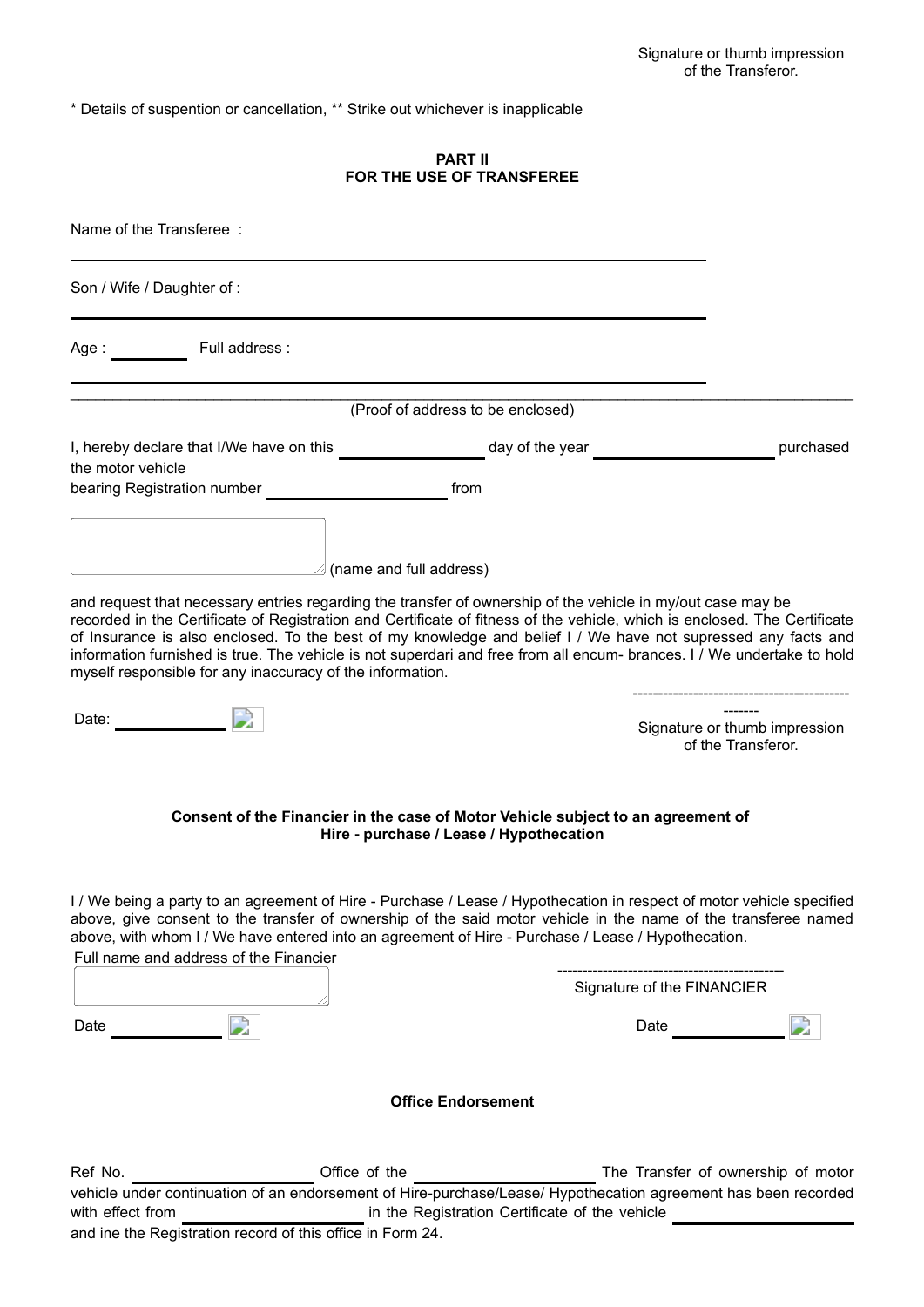\* Details of suspention or cancellation, \*\* Strike out whichever is inapplicable

## **PART II FOR THE USE OF TRANSFEREE**

| Name of the Transferee:                                                                                                                                                                                                       |                                                                                                                             |                                                                                                                                                                                                                                                                                                                                                                      |
|-------------------------------------------------------------------------------------------------------------------------------------------------------------------------------------------------------------------------------|-----------------------------------------------------------------------------------------------------------------------------|----------------------------------------------------------------------------------------------------------------------------------------------------------------------------------------------------------------------------------------------------------------------------------------------------------------------------------------------------------------------|
| Son / Wife / Daughter of :                                                                                                                                                                                                    |                                                                                                                             |                                                                                                                                                                                                                                                                                                                                                                      |
| Age: Full address:                                                                                                                                                                                                            |                                                                                                                             |                                                                                                                                                                                                                                                                                                                                                                      |
|                                                                                                                                                                                                                               | (Proof of address to be enclosed)                                                                                           |                                                                                                                                                                                                                                                                                                                                                                      |
| the motor vehicle<br>bearing Registration number bearing Registration                                                                                                                                                         | from                                                                                                                        | I, hereby declare that I/We have on this _____________________day of the year ____________________________purchased                                                                                                                                                                                                                                                  |
| and full address) (name and full address)<br>and request that necessary entries regarding the transfer of ownership of the vehicle in my/out case may be<br>myself responsible for any inaccuracy of the information.         |                                                                                                                             | recorded in the Certificate of Registration and Certificate of fitness of the vehicle, which is enclosed. The Certificate<br>of Insurance is also enclosed. To the best of my knowledge and belief I / We have not supressed any facts and<br>information furnished is true. The vehicle is not superdari and free from all encum- brances. I / We undertake to hold |
| Date: and the state of the state of the state of the state of the state of the state of the state of the state of the state of the state of the state of the state of the state of the state of the state of the state of the |                                                                                                                             | Signature or thumb impression<br>of the Transferor.                                                                                                                                                                                                                                                                                                                  |
|                                                                                                                                                                                                                               | Consent of the Financier in the case of Motor Vehicle subject to an agreement of<br>Hire - purchase / Lease / Hypothecation |                                                                                                                                                                                                                                                                                                                                                                      |
| above, with whom I / We have entered into an agreement of Hire - Purchase / Lease / Hypothecation.<br>Full name and address of the Financier                                                                                  |                                                                                                                             | I / We being a party to an agreement of Hire - Purchase / Lease / Hypothecation in respect of motor vehicle specified<br>above, give consent to the transfer of ownership of the said motor vehicle in the name of the transferee named                                                                                                                              |
|                                                                                                                                                                                                                               |                                                                                                                             | Signature of the FINANCIER                                                                                                                                                                                                                                                                                                                                           |
| Date                                                                                                                                                                                                                          |                                                                                                                             | Date                                                                                                                                                                                                                                                                                                                                                                 |
|                                                                                                                                                                                                                               | <b>Office Endorsement</b>                                                                                                   |                                                                                                                                                                                                                                                                                                                                                                      |
| Ref No.<br>with effect from<br>and ine the Registration record of this office in Form 24.                                                                                                                                     | Office of the<br>in the Registration Certificate of the vehicle                                                             | The Transfer of ownership of motor<br>vehicle under continuation of an endorsement of Hire-purchase/Lease/ Hypothecation agreement has been recorded                                                                                                                                                                                                                 |